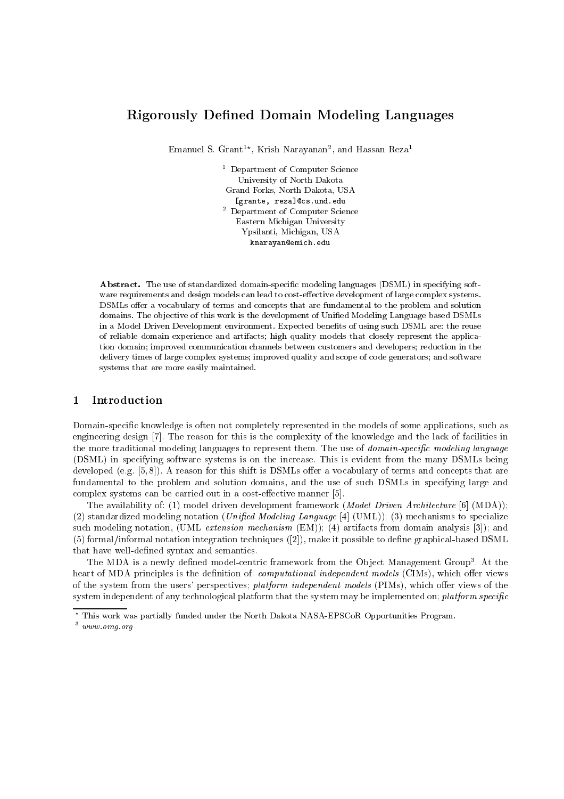# **Rigorously Defined Domain Modeling Languages**

Emanuel S. Grant<sup>1\*</sup>, Krish Narayanan<sup>2</sup>, and Hassan Reza<sup>1</sup>

<sup>1</sup> Department of Computer Science University of North Dakota Grand Forks, North Dakota, USA [grante, reza] Ocs.und.edu <sup>2</sup> Department of Computer Science Eastern Michigan University Ypsilanti, Michigan, USA knarayan@emich.edu

Abstract. The use of standardized domain-specific modeling languages (DSML) in specifying software requirements and design models can lead to cost-effective development of large complex systems. DSMLs offer a vocabulary of terms and concepts that are fundamental to the problem and solution domains. The objective of this work is the development of Unified Modeling Language based DSMLs in a Model Driven Development environment. Expected benefits of using such DSML are: the reuse of reliable domain experience and artifacts; high quality models that closely represent the application domain; improved communication channels between customers and developers; reduction in the delivery times of large complex systems; improved quality and scope of code generators; and software systems that are more easily maintained.

# Introduction  $\mathbf{1}$

Domain-specific knowledge is often not completely represented in the models of some applications, such as engineering design [7]. The reason for this is the complexity of the knowledge and the lack of facilities in the more traditional modeling languages to represent them. The use of *domain-specific modeling language* (DSML) in specifying software systems is on the increase. This is evident from the many DSMLs being developed (e.g.  $[5,8]$ ). A reason for this shift is DSMLs offer a vocabulary of terms and concepts that are fundamental to the problem and solution domains, and the use of such DSMLs in specifying large and complex systems can be carried out in a cost-effective manner [5].

The availability of: (1) model driven development framework (*Model Driven Architecture* [6] (MDA)); (2) standardized modeling notation *(Unified Modeling Language* [4] *(UML)*); (3) mechanisms to specialize such modeling notation, (UML extension mechanism (EM)); (4) artifacts from domain analysis [3]); and (5) formal/informal notation integration techniques ([2]), make it possible to define graphical-based DSML that have well-defined syntax and semantics.

The MDA is a newly defined model-centric framework from the Object Management Group<sup>3</sup>. At the heart of MDA principles is the definition of: computational independent models (CIMs), which offer views of the system from the users' perspectives; platform independent models (PIMs), which offer views of the system independent of any technological platform that the system may be implemented on; platform specific

<sup>\*</sup> This work was partially funded under the North Dakota NASA-EPSCoR Opportunities Program.

 $3$  www.omg.org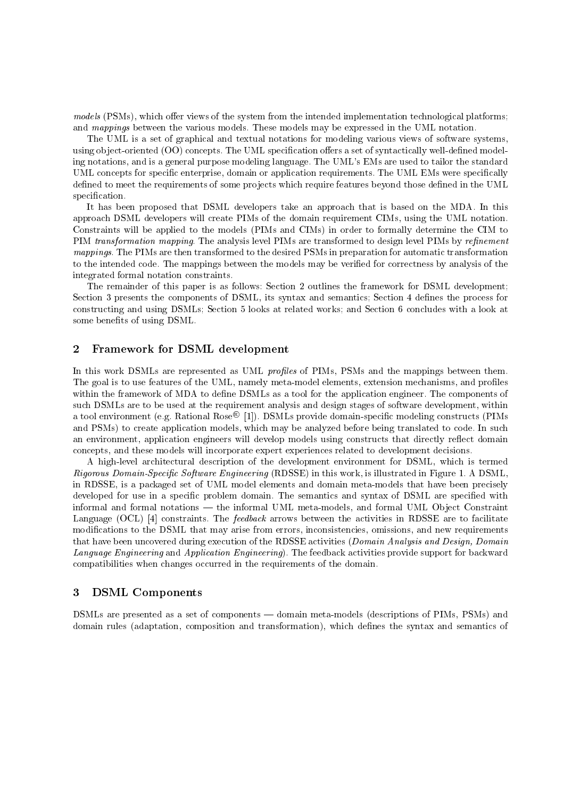*models* (PSMs), which offer views of the system from the intended implementation technological platforms; and mappings between the various models. These models may be expressed in the UML notation.

The UML is a set of graphical and textual notations for modeling various views of software systems, using object-oriented (OO) concepts. The UML specification offers a set of syntactically well-defined modeling notations, and is a general purpose modeling language. The UML's EMs are used to tailor the standard UML concepts for specific enterprise, domain or application requirements. The UML EMs were specifically defined to meet the requirements of some projects which require features beyond those defined in the UML specification.

It has been proposed that DSML developers take an approach that is based on the MDA. In this approach DSML developers will create PIMs of the domain requirement CIMs, using the UML notation. Constraints will be applied to the models (PIMs and CIMs) in order to formally determine the CIM to PIM transformation mapping. The analysis level PIMs are transformed to design level PIMs by refinement *mappings*. The PIMs are then transformed to the desired PSMs in preparation for automatic transformation to the intended code. The mappings between the models may be verified for correctness by analysis of the integrated formal notation constraints.

The remainder of this paper is as follows: Section 2 outlines the framework for DSML development: Section 3 presents the components of DSML, its syntax and semantics: Section 4 defines the process for constructing and using DSMLs; Section 5 looks at related works; and Section 6 concludes with a look at some benefits of using DSML.

# $\overline{2}$ Framework for DSML development

In this work DSMLs are represented as UML profiles of PIMs, PSMs and the mappings between them. The goal is to use features of the UML, namely meta-model elements, extension mechanisms, and profiles within the framework of MDA to define DSMLs as a tool for the application engineer. The components of such DSMLs are to be used at the requirement analysis and design stages of software development, within a tool environment (e.g. Rational Rose<sup>®</sup> [1]). DSMLs provide domain-specific modeling constructs (PIMs and PSMs) to create application models, which may be analyzed before being translated to code. In such an environment, application engineers will develop models using constructs that directly reflect domain concepts, and these models will incorporate expert experiences related to development decisions.

A high-level architectural description of the development environment for DSML, which is termed *Rigorous Domain-Specific Software Engineering* (RDSSE) in this work, is illustrated in Figure 1. A DSML, in RDSSE, is a packaged set of UML model elements and domain meta-models that have been precisely developed for use in a specific problem domain. The semantics and syntax of DSML are specified with informal and formal notations — the informal UML meta-models, and formal UML Object Constraint Language (OCL) [4] constraints. The *feedback* arrows between the activities in RDSSE are to facilitate modifications to the DSML that may arise from errors, inconsistencies, omissions, and new requirements that have been uncovered during execution of the RDSSE activities (Domain Analysis and Design, Domain Language Engineering and Application Engineering). The feedback activities provide support for backward compatibilities when changes occurred in the requirements of the domain.

# $\boldsymbol{3}$ **DSML** Components

DSMLs are presented as a set of components — domain meta-models (descriptions of PIMs, PSMs) and domain rules (adaptation, composition and transformation), which defines the syntax and semantics of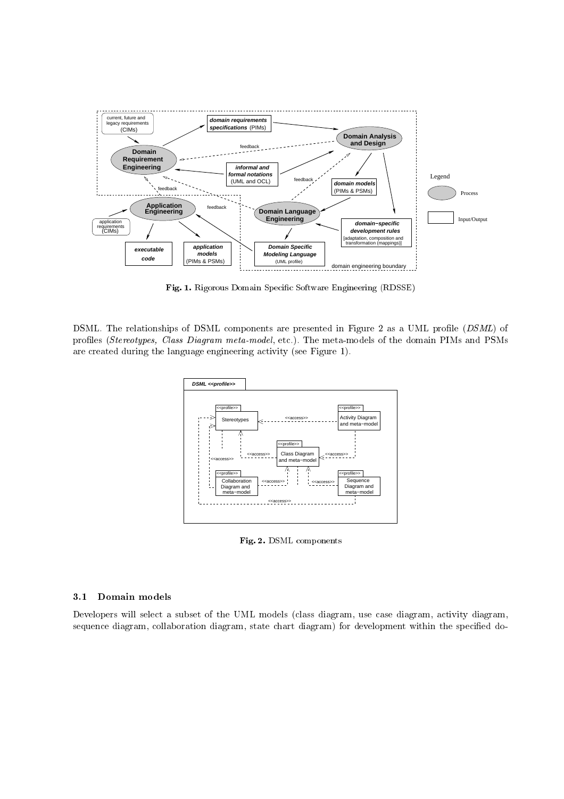

**Fig. 1.** Rigorous Domain Specific Software Engineering (RDSSE)

DSML. The relationships of DSML components are presented in Figure 2 as a UML profile (*DSML*) of profiles (*Stereotypes, Class Diagram meta-model*, etc.). The meta-models of the domain PIMs and PSMs  $\mathbf{a}$   $\mathbf{a}$   $\mathbf{a}$   $\mathbf{a}$   $\mathbf{a}$   $\mathbf{a}$   $\mathbf{a}$   $\mathbf{a}$   $\mathbf{a}$   $\mathbf{a}$   $\mathbf{a}$ 



  % 
-

# 3.1

Developers will select a subset of the UML models (class diagram, use case diagram, activity diagram,  $\mathbf{P}$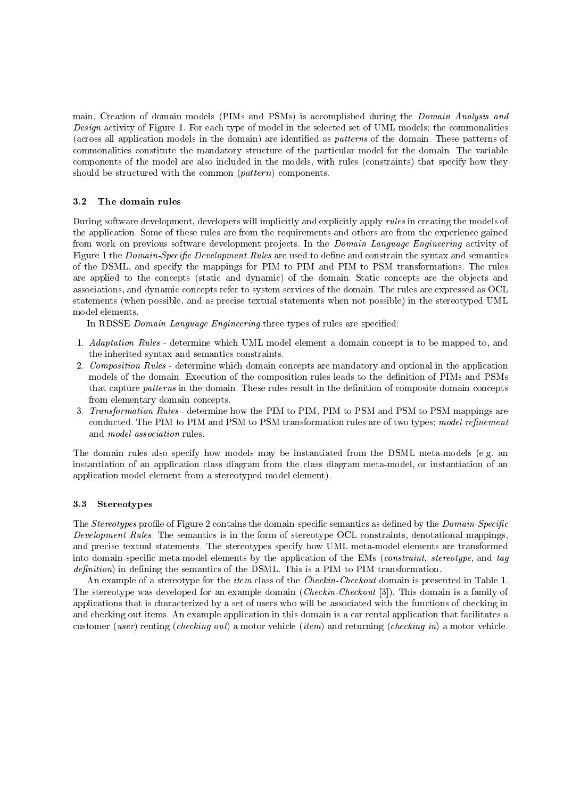main. Creation of domain models (PIMs and PSMs) is accomplished during the *Domain Analysis and* Design activity of Figure 1. For each type of model in the selected set of UML models; the commonalities (across all application models in the domain) are identified as *patterns* of the domain. These patterns of commonalities constitute the mandatory structure of the particular model for the domain. The variable components of the model are also included in the models, with rules (constraints) that specify how they should be structured with the common (pattern) components.

# $3.2$ The domain rules

During software development, developers will implicitly and explicitly apply rules in creating the models of the application. Some of these rules are from the requirements and others are from the experience gained from work on previous software development projects. In the *Domain Language Engineering* activity of Figure 1 the *Domain-Specific Development Rules* are used to define and constrain the syntax and semantics of the DSML, and specify the mappings for PIM to PIM and PIM to PSM transformations. The rules are applied to the concepts (static and dynamic) of the domain. Static concepts are the objects and associations, and dynamic concepts refer to system services of the domain. The rules are expressed as OCL statements (when possible, and as precise textual statements when not possible) in the stereotyped UML model elements.

In RDSSE Domain Language Engineering three types of rules are specified:

- 1. Adaptation Rules determine which UML model element a domain concept is to be mapped to, and the inherited syntax and semantics constraints.
- 2. Composition Rules determine which domain concepts are mandatory and optional in the application models of the domain. Execution of the composition rules leads to the definition of PIMs and PSMs that capture *patterns* in the domain. These rules result in the definition of composite domain concepts from elementary domain concepts.
- 3. Transformation Rules determine how the PIM to PIM, PIM to PSM and PSM to PSM mappings are conducted. The PIM to PIM and PSM to PSM transformation rules are of two types; model refinement and *model association* rules.

The domain rules also specify how models may be instantiated from the DSML meta-models (e.g. an instantiation of an application class diagram from the class diagram meta-model, or instantiation of an application model element from a stereotyped model element).

# **Stereotypes**  $3.3$

The Stereotypes profile of Figure 2 contains the domain-specific semantics as defined by the Domain-Specific Development Rules. The semantics is in the form of stereotype OCL constraints, denotational mappings, and precise textual statements. The stereotypes specify how UML meta-model elements are transformed into domain-specific meta-model elements by the application of the EMs (constraint, stereotype, and tag definition) in defining the semantics of the DSML. This is a PIM to PIM transformation.

An example of a stereotype for the *item* class of the *Checkin-Checkout* domain is presented in Table 1. The stereotype was developed for an example domain (*Checkin-Checkout* [3]). This domain is a family of applications that is characterized by a set of users who will be associated with the functions of checking in and checking out items. An example application in this domain is a car rental application that facilitates a customer (user) renting (checking out) a motor vehicle (item) and returning (checking in) a motor vehicle.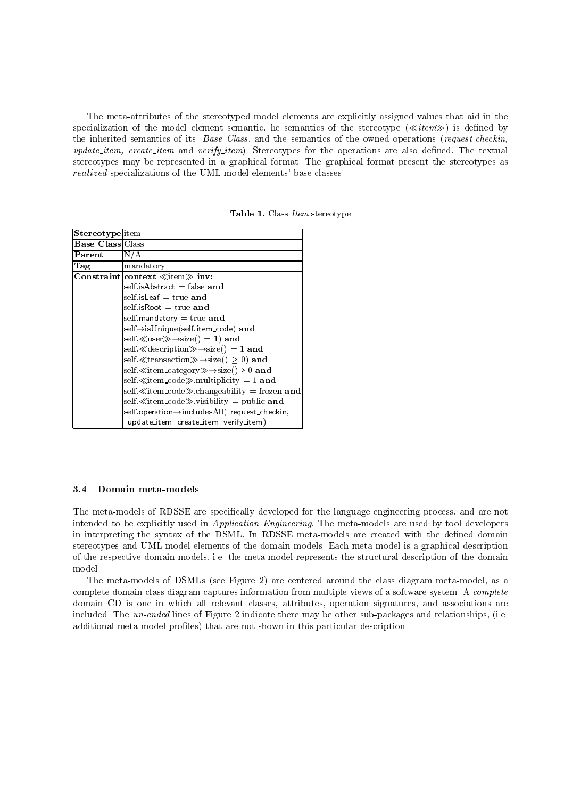The meta-attributes of the stereotyped model elements are explicitly assigned values that aid in the specialization of the model element semantic. he semantics of the stereotype  $(\ll$ *item* $)$  is defined by the inherited semantics of its: Base Class, and the semantics of the owned operations (request\_checkin, update\_item, create\_item and verify\_item). Stereotypes for the operations are also defined. The textual stereotypes may be represented in a graphical format. The graphical format present the stereotypes as *realized* specializations of the UML model elements' base classes.

| Table 1. Class Item stereotype |  |  |
|--------------------------------|--|--|
|--------------------------------|--|--|

| <b>Stereotype</b> item  |                                                              |
|-------------------------|--------------------------------------------------------------|
| <b>Base Class Class</b> |                                                              |
| ${\bf Parent}$          | N/A                                                          |
| Tag                     | mandatory                                                    |
|                         | Constraint context $\ll$ item $\gg$ inv:                     |
|                         | self.is $A$ bstract = false and                              |
|                         | self is $\epsilon$ is $\epsilon$ is $\epsilon$ = true and    |
|                         | self.is $Root = true$ and                                    |
|                         | self mandatory $=$ true and                                  |
|                         | self→isUnique(self.item_code) and                            |
|                         | self. $\ll$ user $\gg \rightarrow$ size() = 1) and           |
|                         | self. « description $\gg \rightarrow$ size( ) = 1 and        |
|                         | self. $\ll$ transaction $\gg \to$ size() $\geq 0$ ) and      |
|                         | self $\ll$ item category $\gg \rightarrow$ size() > 0 and    |
|                         | self $\ll$ item_code $\gg$ multiplicity = 1 and              |
|                         | self. $\ll$ item_code $\gg$ changeability = frozen and       |
|                         | self $\ll$ item code $\gg$ visibility = public and           |
|                         | $self. operation \rightarrow includes All (request_checkin,$ |
|                         | update_item, create_item, verify_item)                       |

#### $3.4$ Domain meta-models

The meta-models of RDSSE are specifically developed for the language engineering process, and are not intended to be explicitly used in *Application Engineering*. The meta-models are used by tool developers in interpreting the syntax of the DSML. In RDSSE meta-models are created with the defined domain stereotypes and UML model elements of the domain models. Each meta-model is a graphical description of the respective domain models, i.e. the meta-model represents the structural description of the domain model.

The meta-models of DSMLs (see Figure 2) are centered around the class diagram meta-model, as a complete domain class diagram captures information from multiple views of a software system. A complete domain CD is one in which all relevant classes, attributes, operation signatures, and associations are included. The un-ended lines of Figure 2 indicate there may be other sub-packages and relationships, (i.e. additional meta-model profiles) that are not shown in this particular description.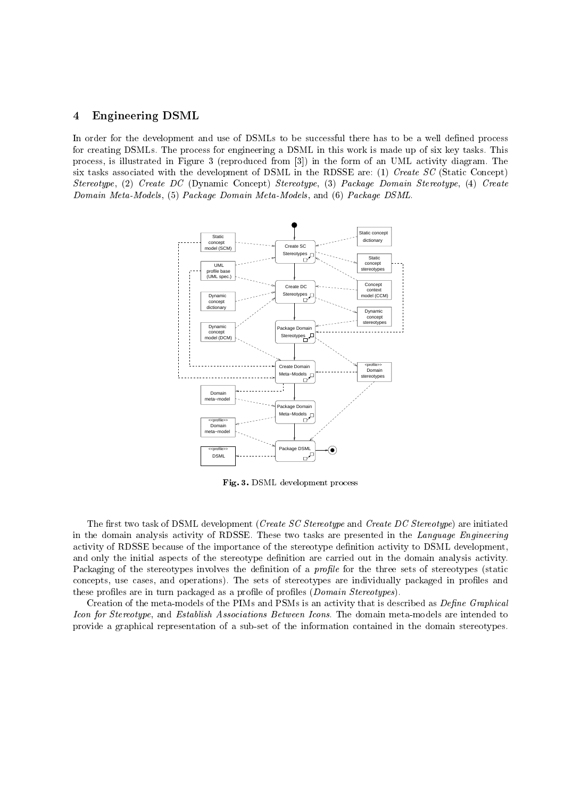# ————————————————————

In order for the development and use of DSMLs to be successful there has to be a well defined process for creating DSMLs. The process for engineering a DSML in this work is made up of six key tasks. This process, is illustrated in Figure 3 (reproduced from  $|3|$ ) in the form of an UML activity diagram. The six tasks associated with the development of DSML in the RDSSE are: (1) *Create SC* (Static Concept)  $\mathcal{A} = \{A_1, \ldots, A_{n-1}, \ldots, A_{n-1}, \ldots, A_{n-1}, \ldots, A_{n-1}, \ldots, A_{n-1}, \ldots, A_{n-1}, \ldots, A_{n-1}, \ldots, A_{n-1}, \ldots, A_{n-1}, \ldots, A_{n-1}, \ldots, A_{n-1}, \ldots, A_{n-1}, \ldots, A_{n-1}, \ldots, A_{n-1}, \ldots, A_{n-1}, \ldots, A_{n-1}, \ldots, A_{n-1}, \ldots, A_{n-1}, \ldots, A_{n-1}, \ldots, A_{n-1}, \ldots, A_{n$  $\sim$  0.000000 movement (b) + wenting  $\sim$  20 0.000000 movement (b) + wenting  $\sim$  20.000 movement



 % - -

The first two task of DSML development (*Create SC Stereotype* and *Create DC Stereotype*) are initiated - -- -\* \$ - activity of RDSSE because of the importance of the stereotype definition activity to DSML development, - - - - - - -- -\* ?-- \*\* -  &-  $\blacksquare$  . The set of the set of the set of the set of the set of the set of the set of the set of the set of the set of the set of the set of the set of the set of the set of the set of the set of the set of the set of the  $\alpha$  , and  $\alpha$  , and  $\alpha$  is a promoted by  $\alpha$  ,  $\beta$  ,  $\beta$  ,  $\beta$  ,  $\beta$  ,  $\beta$  ,  $\beta$  ,  $\beta$  ,  $\beta$  ,  $\beta$  ,  $\beta$  ,  $\beta$  ,  $\beta$  ,  $\beta$  ,  $\beta$  ,  $\beta$  ,  $\beta$  ,  $\beta$  ,  $\beta$  ,  $\beta$  ,  $\beta$  ,  $\beta$  ,  $\beta$  ,  $\beta$  ,  $\beta$  ,  $\$ 

Creation of the meta-models of the PIMs and PSMs is an activity that is described as *Define Graphical* roon for seen coughet and hologenesis riceoclusteries between rechter rin domain measure models are meended to \* - -- - - + - - -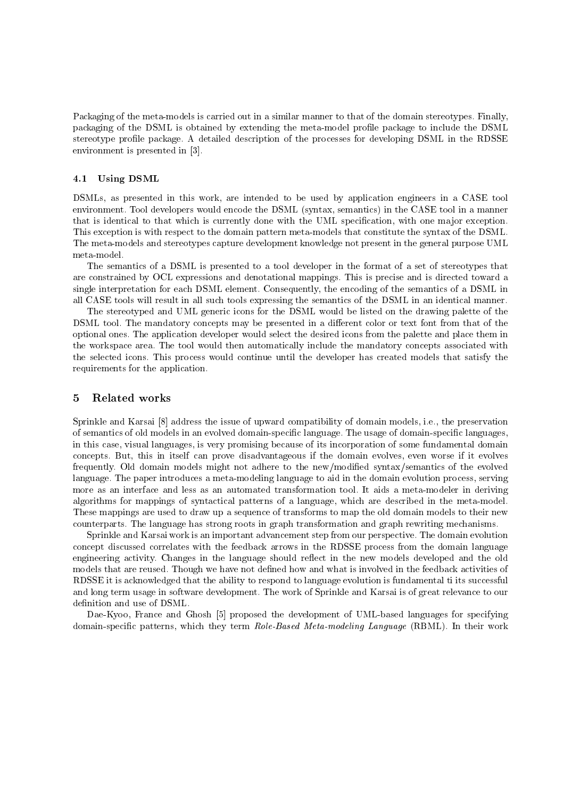Packaging of the meta-models is carried out in a similar manner to that of the domain stereotypes. Finally, packaging of the DSML is obtained by extending the meta-model profile package to include the DSML stereotype profile package. A detailed description of the processes for developing DSML in the RDSSE environment is presented in [3].

#### **Using DSML** 4.1

DSMLs, as presented in this work, are intended to be used by application engineers in a CASE tool environment. Tool developers would encode the DSML (syntax, semantics) in the CASE tool in a manner that is identical to that which is currently done with the UML specification, with one major exception. This exception is with respect to the domain pattern meta-models that constitute the syntax of the DSML. The meta-models and stereotypes capture development knowledge not present in the general purpose UML meta-model.

The semantics of a DSML is presented to a tool developer in the format of a set of stereotypes that are constrained by OCL expressions and denotational mappings. This is precise and is directed toward a single interpretation for each DSML element. Consequently, the encoding of the semantics of a DSML in all CASE tools will result in all such tools expressing the semantics of the DSML in an identical manner.

The stereotyped and UML generic icons for the DSML would be listed on the drawing palette of the DSML tool. The mandatory concepts may be presented in a different color or text font from that of the optional ones. The application developer would select the desired icons from the palette and place them in the workspace area. The tool would then automatically include the mandatory concepts associated with the selected icons. This process would continue until the developer has created models that satisfy the requirements for the application.

# $\overline{5}$ Related works

Sprinkle and Karsai [8] address the issue of upward compatibility of domain models, i.e., the preservation of semantics of old models in an evolved domain-specific language. The usage of domain-specific languages, in this case, visual languages, is very promising because of its incorporation of some fundamental domain concepts. But, this in itself can prove disadvantageous if the domain evolves, even worse if it evolves frequently. Old domain models might not adhere to the new/modified syntax/semantics of the evolved language. The paper introduces a meta-modeling language to aid in the domain evolution process, serving more as an interface and less as an automated transformation tool. It aids a meta-modeler in deriving algorithms for mappings of syntactical patterns of a language, which are described in the meta-model. These mappings are used to draw up a sequence of transforms to map the old domain models to their new counterparts. The language has strong roots in graph transformation and graph rewriting mechanisms.

Sprinkle and Karsai work is an important advancement step from our perspective. The domain evolution concept discussed correlates with the feedback arrows in the RDSSE process from the domain language engineering activity. Changes in the language should reflect in the new models developed and the old models that are reused. Though we have not defined how and what is involved in the feedback activities of RDSSE it is acknowledged that the ability to respond to language evolution is fundamental ti its successful and long term usage in software development. The work of Sprinkle and Karsai is of great relevance to our definition and use of DSML.

Dae-Kyoo, France and Ghosh [5] proposed the development of UML-based languages for specifying domain-specific patterns, which they term Role-Based Meta-modeling Language (RBML). In their work